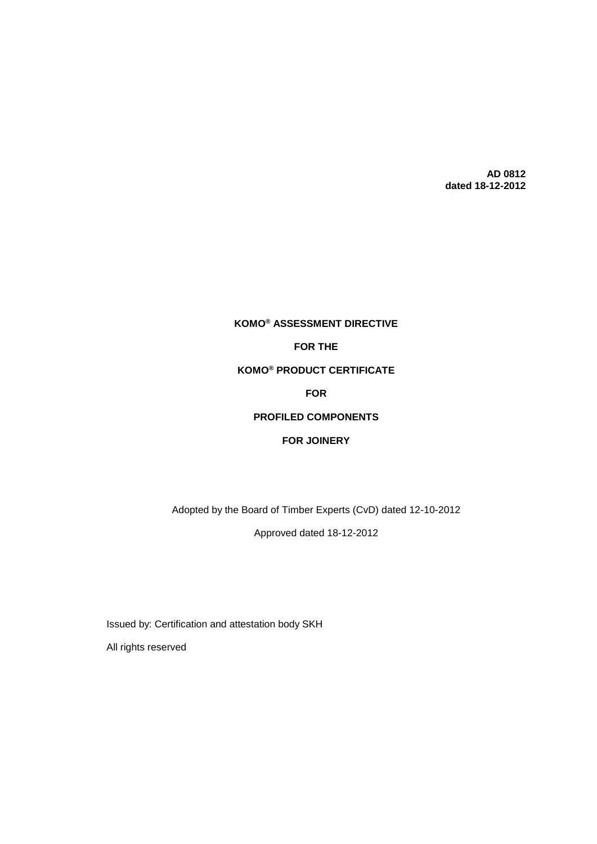**AD 0812 dated 18-12-2012**

# **KOMO® ASSESSMENT DIRECTIVE FOR THE KOMO® PRODUCT CERTIFICATE FOR PROFILED COMPONENTS FOR JOINERY**

Adopted by the Board of Timber Experts (CvD) dated 12-10-2012

Approved dated 18-12-2012

Issued by: Certification and attestation body SKH

All rights reserved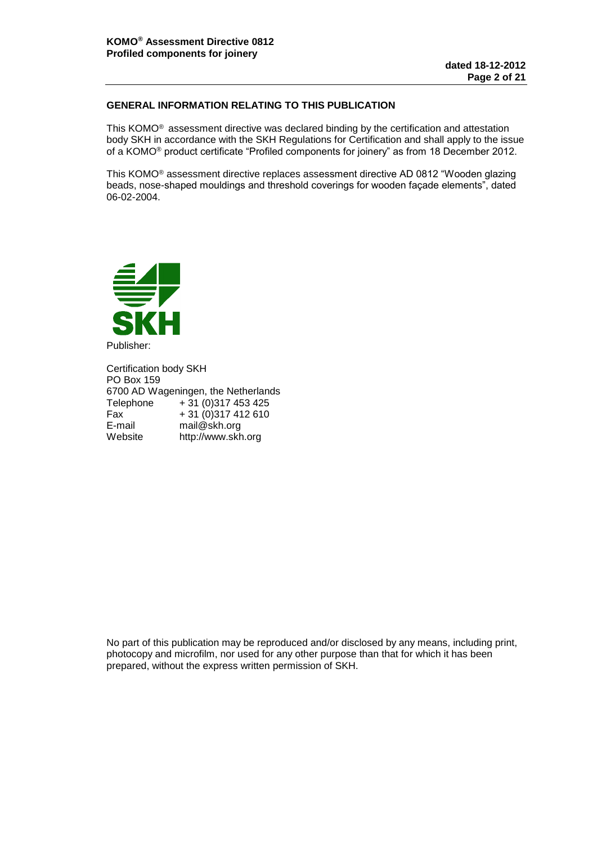# **GENERAL INFORMATION RELATING TO THIS PUBLICATION**

This KOMO® assessment directive was declared binding by the certification and attestation body SKH in accordance with the SKH Regulations for Certification and shall apply to the issue of a KOMO® product certificate "Profiled components for joinery" as from 18 December 2012.

This KOMO® assessment directive replaces assessment directive AD 0812 "Wooden glazing beads, nose-shaped mouldings and threshold coverings for wooden façade elements", dated 06-02-2004.



Publisher:

Certification body SKH PO Box 159 6700 AD Wageningen, the Netherlands Telephone + 31 (0) 317 453 425<br>Fax + 31 (0) 317 412 610  $\begin{array}{r} \n\text{Fax} \\
\text{F-mail} \\
\text{Final} \\
\text{Mail} \\
\end{array}$  + 31 (0)317 412 610 E-mail mail@skh.org<br>Website http://www.skh http://www.skh.org

No part of this publication may be reproduced and/or disclosed by any means, including print, photocopy and microfilm, nor used for any other purpose than that for which it has been prepared, without the express written permission of SKH.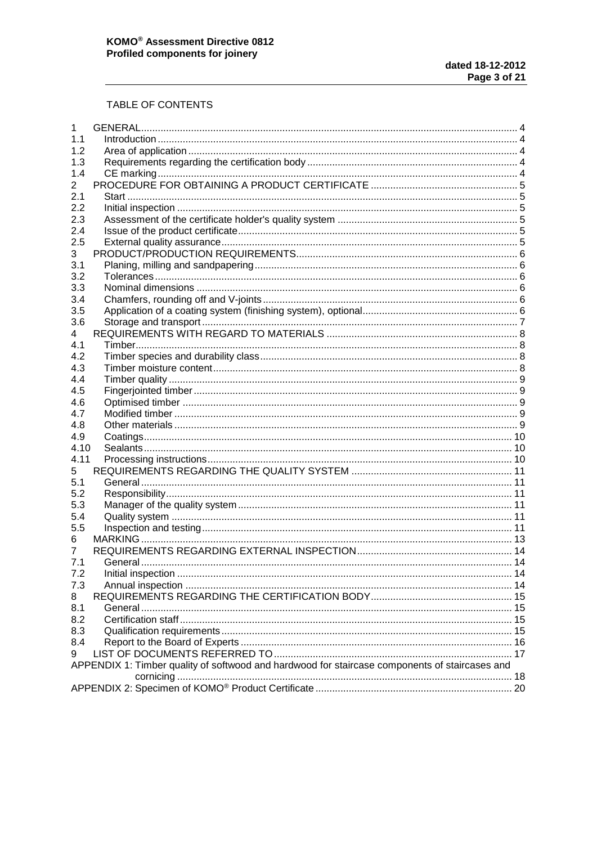# TABLE OF CONTENTS

| 1    |                                                                                                |  |  |  |  |  |
|------|------------------------------------------------------------------------------------------------|--|--|--|--|--|
| 1.1  |                                                                                                |  |  |  |  |  |
| 1.2  |                                                                                                |  |  |  |  |  |
| 1.3  |                                                                                                |  |  |  |  |  |
| 1.4  |                                                                                                |  |  |  |  |  |
| 2    |                                                                                                |  |  |  |  |  |
| 2.1  |                                                                                                |  |  |  |  |  |
| 2.2  |                                                                                                |  |  |  |  |  |
| 2.3  |                                                                                                |  |  |  |  |  |
| 2.4  |                                                                                                |  |  |  |  |  |
| 2.5  |                                                                                                |  |  |  |  |  |
| 3    |                                                                                                |  |  |  |  |  |
| 3.1  |                                                                                                |  |  |  |  |  |
| 3.2  |                                                                                                |  |  |  |  |  |
|      |                                                                                                |  |  |  |  |  |
| 3.3  |                                                                                                |  |  |  |  |  |
| 3.4  |                                                                                                |  |  |  |  |  |
| 3.5  |                                                                                                |  |  |  |  |  |
| 3.6  |                                                                                                |  |  |  |  |  |
| 4    |                                                                                                |  |  |  |  |  |
| 4.1  |                                                                                                |  |  |  |  |  |
| 4.2  |                                                                                                |  |  |  |  |  |
| 4.3  |                                                                                                |  |  |  |  |  |
| 4.4  |                                                                                                |  |  |  |  |  |
| 4.5  |                                                                                                |  |  |  |  |  |
| 4.6  |                                                                                                |  |  |  |  |  |
| 4.7  |                                                                                                |  |  |  |  |  |
| 4.8  |                                                                                                |  |  |  |  |  |
| 4.9  |                                                                                                |  |  |  |  |  |
| 4.10 |                                                                                                |  |  |  |  |  |
| 4.11 |                                                                                                |  |  |  |  |  |
| 5    |                                                                                                |  |  |  |  |  |
| 5.1  |                                                                                                |  |  |  |  |  |
| 5.2  |                                                                                                |  |  |  |  |  |
| 5.3  |                                                                                                |  |  |  |  |  |
| 5.4  |                                                                                                |  |  |  |  |  |
| 5.5  |                                                                                                |  |  |  |  |  |
| 6    |                                                                                                |  |  |  |  |  |
| 7    |                                                                                                |  |  |  |  |  |
| 7.1  |                                                                                                |  |  |  |  |  |
| 7.2  |                                                                                                |  |  |  |  |  |
| 7.3  |                                                                                                |  |  |  |  |  |
|      |                                                                                                |  |  |  |  |  |
| 8    |                                                                                                |  |  |  |  |  |
| 8.1  |                                                                                                |  |  |  |  |  |
| 8.2  |                                                                                                |  |  |  |  |  |
| 8.3  |                                                                                                |  |  |  |  |  |
| 8.4  |                                                                                                |  |  |  |  |  |
| 9    |                                                                                                |  |  |  |  |  |
|      | APPENDIX 1: Timber quality of softwood and hardwood for staircase components of staircases and |  |  |  |  |  |
|      |                                                                                                |  |  |  |  |  |
|      |                                                                                                |  |  |  |  |  |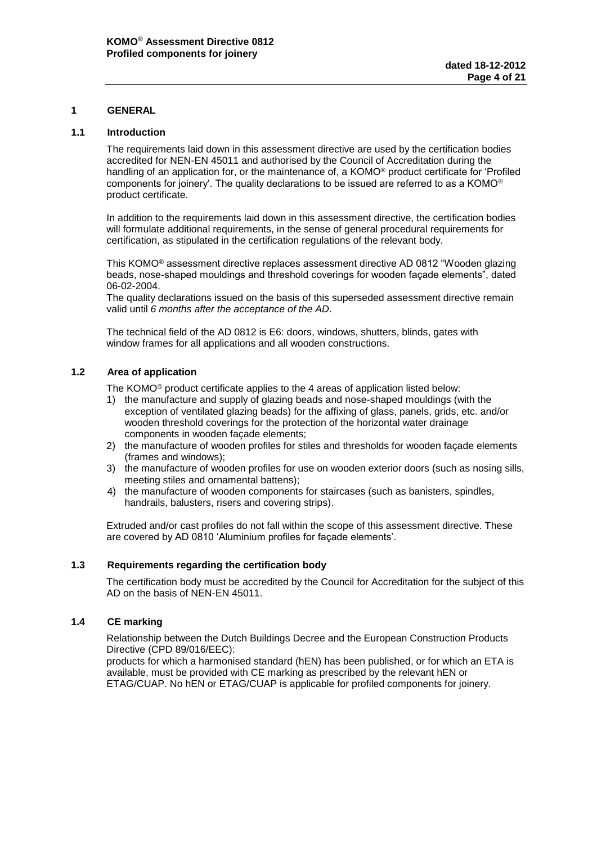# <span id="page-3-0"></span>**1 GENERAL**

#### <span id="page-3-1"></span>**1.1 Introduction**

The requirements laid down in this assessment directive are used by the certification bodies accredited for NEN-EN 45011 and authorised by the Council of Accreditation during the handling of an application for, or the maintenance of, a KOMO® product certificate for 'Profiled components for joinery'. The quality declarations to be issued are referred to as a KOMO® product certificate.

In addition to the requirements laid down in this assessment directive, the certification bodies will formulate additional requirements, in the sense of general procedural requirements for certification, as stipulated in the certification regulations of the relevant body.

This KOMO® assessment directive replaces assessment directive AD 0812 "Wooden glazing beads, nose-shaped mouldings and threshold coverings for wooden façade elements", dated 06-02-2004.

The quality declarations issued on the basis of this superseded assessment directive remain valid until *6 months after the acceptance of the AD*.

The technical field of the AD 0812 is E6: doors, windows, shutters, blinds, gates with window frames for all applications and all wooden constructions.

# <span id="page-3-2"></span>**1.2 Area of application**

The KOMO® product certificate applies to the 4 areas of application listed below:

- 1) the manufacture and supply of glazing beads and nose-shaped mouldings (with the exception of ventilated glazing beads) for the affixing of glass, panels, grids, etc. and/or wooden threshold coverings for the protection of the horizontal water drainage components in wooden façade elements;
- 2) the manufacture of wooden profiles for stiles and thresholds for wooden façade elements (frames and windows);
- 3) the manufacture of wooden profiles for use on wooden exterior doors (such as nosing sills, meeting stiles and ornamental battens);
- 4) the manufacture of wooden components for staircases (such as banisters, spindles, handrails, balusters, risers and covering strips).

Extruded and/or cast profiles do not fall within the scope of this assessment directive. These are covered by AD 0810 'Aluminium profiles for façade elements'.

#### <span id="page-3-3"></span>**1.3 Requirements regarding the certification body**

The certification body must be accredited by the Council for Accreditation for the subject of this AD on the basis of NEN-EN 45011.

#### <span id="page-3-4"></span>**1.4 CE marking**

Relationship between the Dutch Buildings Decree and the European Construction Products Directive (CPD 89/016/EEC):

products for which a harmonised standard (hEN) has been published, or for which an ETA is available, must be provided with CE marking as prescribed by the relevant hEN or ETAG/CUAP. No hEN or ETAG/CUAP is applicable for profiled components for joinery.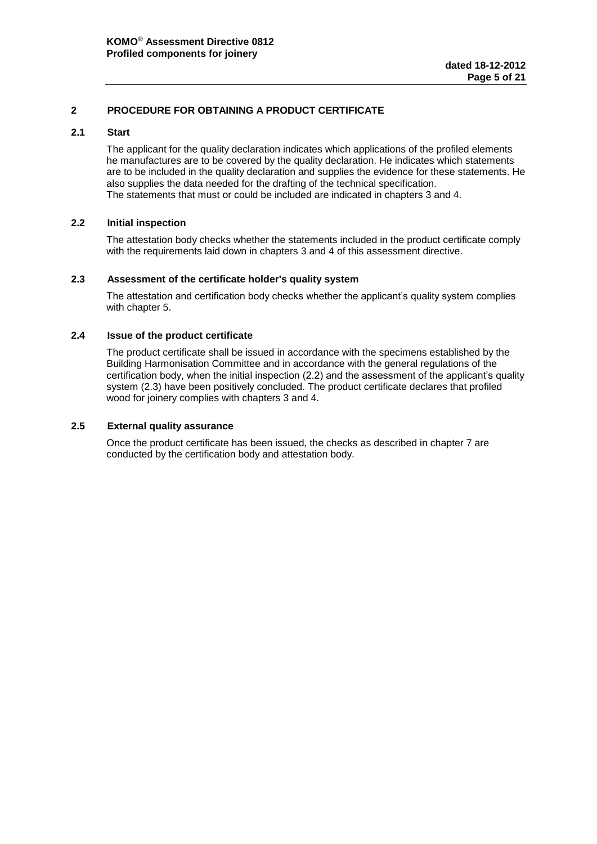# <span id="page-4-0"></span>**2 PROCEDURE FOR OBTAINING A PRODUCT CERTIFICATE**

#### <span id="page-4-1"></span>**2.1 Start**

The applicant for the quality declaration indicates which applications of the profiled elements he manufactures are to be covered by the quality declaration. He indicates which statements are to be included in the quality declaration and supplies the evidence for these statements. He also supplies the data needed for the drafting of the technical specification. The statements that must or could be included are indicated in chapters 3 and 4.

# <span id="page-4-2"></span>**2.2 Initial inspection**

The attestation body checks whether the statements included in the product certificate comply with the requirements laid down in chapters 3 and 4 of this assessment directive.

# <span id="page-4-3"></span>**2.3 Assessment of the certificate holder's quality system**

The attestation and certification body checks whether the applicant's quality system complies with chapter 5.

# <span id="page-4-4"></span>**2.4 Issue of the product certificate**

The product certificate shall be issued in accordance with the specimens established by the Building Harmonisation Committee and in accordance with the general regulations of the certification body, when the initial inspection (2.2) and the assessment of the applicant's quality system (2.3) have been positively concluded. The product certificate declares that profiled wood for joinery complies with chapters 3 and 4.

# <span id="page-4-5"></span>**2.5 External quality assurance**

Once the product certificate has been issued, the checks as described in chapter 7 are conducted by the certification body and attestation body.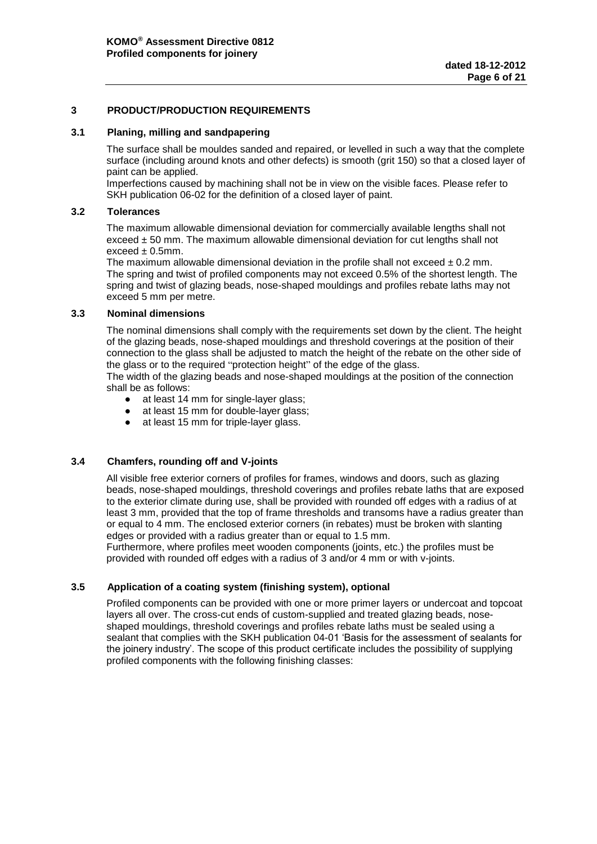# <span id="page-5-0"></span>**3 PRODUCT/PRODUCTION REQUIREMENTS**

#### <span id="page-5-1"></span>**3.1 Planing, milling and sandpapering**

The surface shall be mouldes sanded and repaired, or levelled in such a way that the complete surface (including around knots and other defects) is smooth (grit 150) so that a closed layer of paint can be applied.

Imperfections caused by machining shall not be in view on the visible faces. Please refer to SKH publication 06-02 for the definition of a closed layer of paint.

#### <span id="page-5-2"></span>**3.2 Tolerances**

The maximum allowable dimensional deviation for commercially available lengths shall not exceed  $\pm$  50 mm. The maximum allowable dimensional deviation for cut lengths shall not  $exceed + 0.5mm.$ 

The maximum allowable dimensional deviation in the profile shall not exceed  $\pm$  0.2 mm. The spring and twist of profiled components may not exceed 0.5% of the shortest length. The spring and twist of glazing beads, nose-shaped mouldings and profiles rebate laths may not exceed 5 mm per metre.

# <span id="page-5-3"></span>**3.3 Nominal dimensions**

The nominal dimensions shall comply with the requirements set down by the client. The height of the glazing beads, nose-shaped mouldings and threshold coverings at the position of their connection to the glass shall be adjusted to match the height of the rebate on the other side of the glass or to the required "protection height" of the edge of the glass.

The width of the glazing beads and nose-shaped mouldings at the position of the connection shall be as follows:

- at least 14 mm for single-layer glass;
- at least 15 mm for double-layer glass;
- at least 15 mm for triple-layer glass.

# <span id="page-5-4"></span>**3.4 Chamfers, rounding off and V-joints**

All visible free exterior corners of profiles for frames, windows and doors, such as glazing beads, nose-shaped mouldings, threshold coverings and profiles rebate laths that are exposed to the exterior climate during use, shall be provided with rounded off edges with a radius of at least 3 mm, provided that the top of frame thresholds and transoms have a radius greater than or equal to 4 mm. The enclosed exterior corners (in rebates) must be broken with slanting edges or provided with a radius greater than or equal to 1.5 mm.

Furthermore, where profiles meet wooden components (joints, etc.) the profiles must be provided with rounded off edges with a radius of 3 and/or 4 mm or with v-joints.

# <span id="page-5-5"></span>**3.5 Application of a coating system (finishing system), optional**

Profiled components can be provided with one or more primer layers or undercoat and topcoat layers all over. The cross-cut ends of custom-supplied and treated glazing beads, noseshaped mouldings, threshold coverings and profiles rebate laths must be sealed using a sealant that complies with the SKH publication 04-01 'Basis for the assessment of sealants for the joinery industry'. The scope of this product certificate includes the possibility of supplying profiled components with the following finishing classes: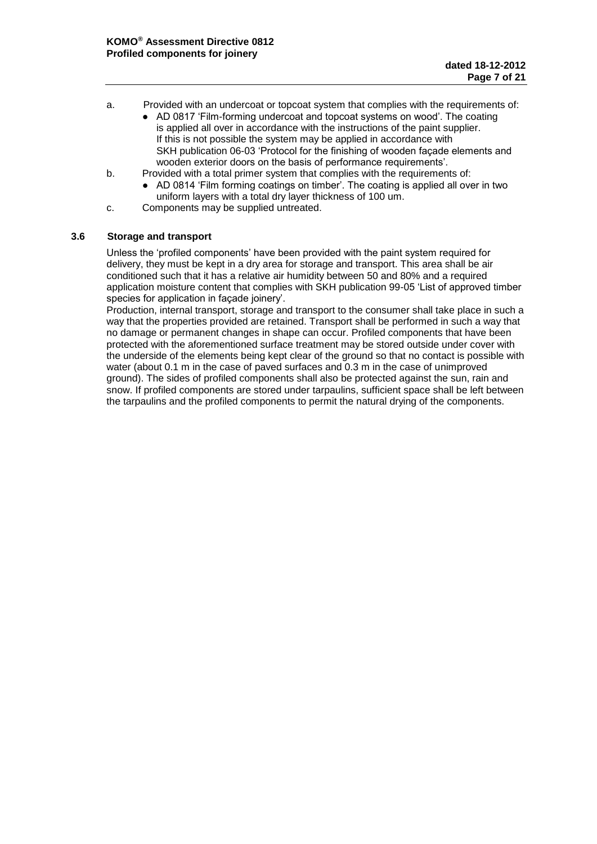- a. Provided with an undercoat or topcoat system that complies with the requirements of:
	- AD 0817 'Film-forming undercoat and topcoat systems on wood'. The coating is applied all over in accordance with the instructions of the paint supplier. If this is not possible the system may be applied in accordance with SKH publication 06-03 'Protocol for the finishing of wooden façade elements and wooden exterior doors on the basis of performance requirements'.
- b. Provided with a total primer system that complies with the requirements of:
	- AD 0814 'Film forming coatings on timber'. The coating is applied all over in two uniform layers with a total dry layer thickness of 100 um.
- c. Components may be supplied untreated.

# <span id="page-6-0"></span>**3.6 Storage and transport**

Unless the 'profiled components' have been provided with the paint system required for delivery, they must be kept in a dry area for storage and transport. This area shall be air conditioned such that it has a relative air humidity between 50 and 80% and a required application moisture content that complies with SKH publication 99-05 'List of approved timber species for application in façade joinery'.

Production, internal transport, storage and transport to the consumer shall take place in such a way that the properties provided are retained. Transport shall be performed in such a way that no damage or permanent changes in shape can occur. Profiled components that have been protected with the aforementioned surface treatment may be stored outside under cover with the underside of the elements being kept clear of the ground so that no contact is possible with water (about 0.1 m in the case of paved surfaces and 0.3 m in the case of unimproved ground). The sides of profiled components shall also be protected against the sun, rain and snow. If profiled components are stored under tarpaulins, sufficient space shall be left between the tarpaulins and the profiled components to permit the natural drying of the components.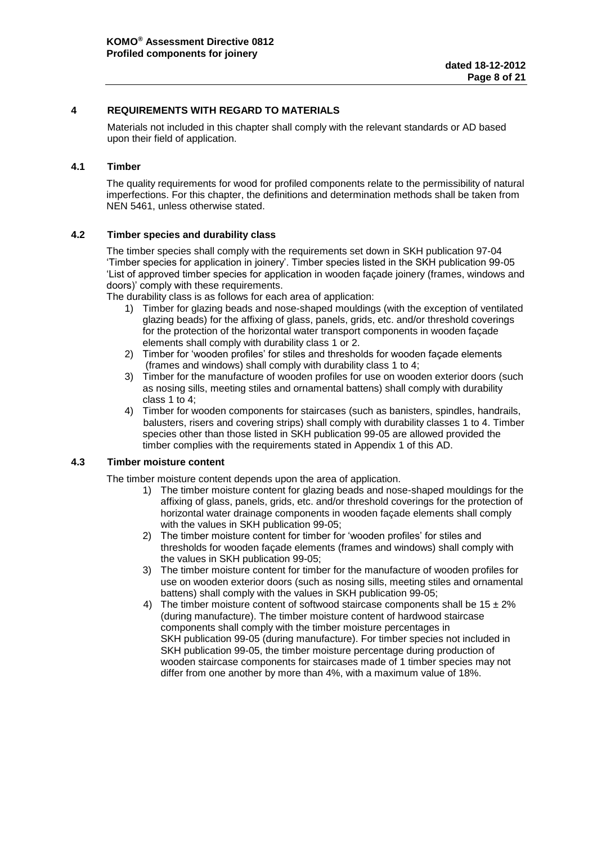# <span id="page-7-0"></span>**4 REQUIREMENTS WITH REGARD TO MATERIALS**

Materials not included in this chapter shall comply with the relevant standards or AD based upon their field of application.

# <span id="page-7-1"></span>**4.1 Timber**

The quality requirements for wood for profiled components relate to the permissibility of natural imperfections. For this chapter, the definitions and determination methods shall be taken from NEN 5461, unless otherwise stated.

# <span id="page-7-2"></span>**4.2 Timber species and durability class**

The timber species shall comply with the requirements set down in SKH publication 97-04 'Timber species for application in joinery'. Timber species listed in the SKH publication 99-05 'List of approved timber species for application in wooden façade joinery (frames, windows and doors)' comply with these requirements.

The durability class is as follows for each area of application:

- 1) Timber for glazing beads and nose-shaped mouldings (with the exception of ventilated glazing beads) for the affixing of glass, panels, grids, etc. and/or threshold coverings for the protection of the horizontal water transport components in wooden façade elements shall comply with durability class 1 or 2.
- 2) Timber for 'wooden profiles' for stiles and thresholds for wooden façade elements (frames and windows) shall comply with durability class 1 to 4;
- 3) Timber for the manufacture of wooden profiles for use on wooden exterior doors (such as nosing sills, meeting stiles and ornamental battens) shall comply with durability class 1 to 4;
- 4) Timber for wooden components for staircases (such as banisters, spindles, handrails, balusters, risers and covering strips) shall comply with durability classes 1 to 4. Timber species other than those listed in SKH publication 99-05 are allowed provided the timber complies with the requirements stated in Appendix 1 of this AD.

# <span id="page-7-3"></span>**4.3 Timber moisture content**

The timber moisture content depends upon the area of application.

- 1) The timber moisture content for glazing beads and nose-shaped mouldings for the affixing of glass, panels, grids, etc. and/or threshold coverings for the protection of horizontal water drainage components in wooden façade elements shall comply with the values in SKH publication 99-05;
- 2) The timber moisture content for timber for 'wooden profiles' for stiles and thresholds for wooden façade elements (frames and windows) shall comply with the values in SKH publication 99-05;
- 3) The timber moisture content for timber for the manufacture of wooden profiles for use on wooden exterior doors (such as nosing sills, meeting stiles and ornamental battens) shall comply with the values in SKH publication 99-05;
- 4) The timber moisture content of softwood staircase components shall be  $15 \pm 2\%$ (during manufacture). The timber moisture content of hardwood staircase components shall comply with the timber moisture percentages in SKH publication 99-05 (during manufacture). For timber species not included in SKH publication 99-05, the timber moisture percentage during production of wooden staircase components for staircases made of 1 timber species may not differ from one another by more than 4%, with a maximum value of 18%.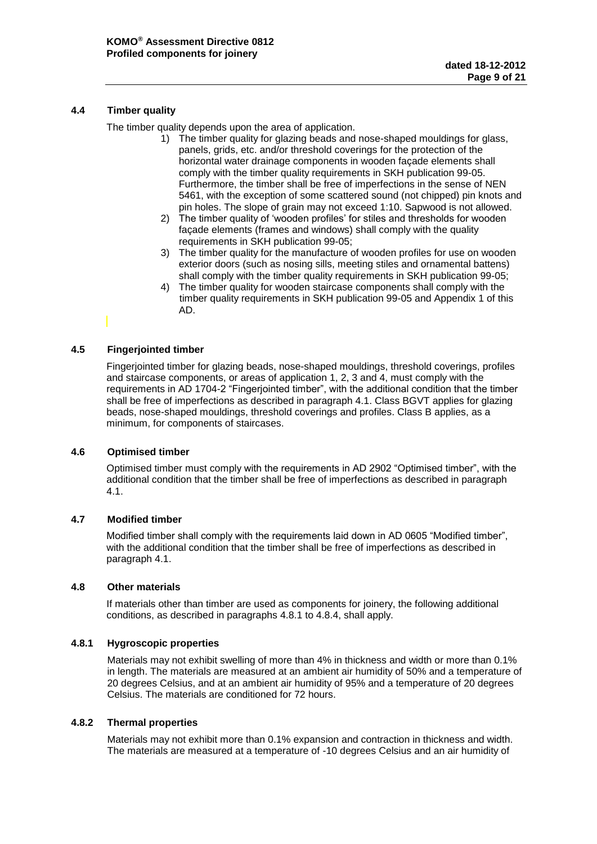# <span id="page-8-0"></span>**4.4 Timber quality**

The timber quality depends upon the area of application.

- 1) The timber quality for glazing beads and nose-shaped mouldings for glass, panels, grids, etc. and/or threshold coverings for the protection of the horizontal water drainage components in wooden façade elements shall comply with the timber quality requirements in SKH publication 99-05. Furthermore, the timber shall be free of imperfections in the sense of NEN 5461, with the exception of some scattered sound (not chipped) pin knots and pin holes. The slope of grain may not exceed 1:10. Sapwood is not allowed.
- 2) The timber quality of 'wooden profiles' for stiles and thresholds for wooden façade elements (frames and windows) shall comply with the quality requirements in SKH publication 99-05;
- 3) The timber quality for the manufacture of wooden profiles for use on wooden exterior doors (such as nosing sills, meeting stiles and ornamental battens) shall comply with the timber quality requirements in SKH publication 99-05;
- 4) The timber quality for wooden staircase components shall comply with the timber quality requirements in SKH publication 99-05 and Appendix 1 of this AD.

# <span id="page-8-1"></span>**4.5 Fingerjointed timber**

Fingerjointed timber for glazing beads, nose-shaped mouldings, threshold coverings, profiles and staircase components, or areas of application 1, 2, 3 and 4, must comply with the requirements in AD 1704-2 "Fingerjointed timber", with the additional condition that the timber shall be free of imperfections as described in paragraph 4.1. Class BGVT applies for glazing beads, nose-shaped mouldings, threshold coverings and profiles. Class B applies, as a minimum, for components of staircases.

# <span id="page-8-2"></span>**4.6 Optimised timber**

Optimised timber must comply with the requirements in AD 2902 "Optimised timber", with the additional condition that the timber shall be free of imperfections as described in paragraph 4.1.

# <span id="page-8-3"></span>**4.7 Modified timber**

Modified timber shall comply with the requirements laid down in AD 0605 "Modified timber", with the additional condition that the timber shall be free of imperfections as described in paragraph 4.1.

# <span id="page-8-4"></span>**4.8 Other materials**

If materials other than timber are used as components for joinery, the following additional conditions, as described in paragraphs 4.8.1 to 4.8.4, shall apply.

# **4.8.1 Hygroscopic properties**

Materials may not exhibit swelling of more than 4% in thickness and width or more than 0.1% in length. The materials are measured at an ambient air humidity of 50% and a temperature of 20 degrees Celsius, and at an ambient air humidity of 95% and a temperature of 20 degrees Celsius. The materials are conditioned for 72 hours.

# **4.8.2 Thermal properties**

Materials may not exhibit more than 0.1% expansion and contraction in thickness and width. The materials are measured at a temperature of -10 degrees Celsius and an air humidity of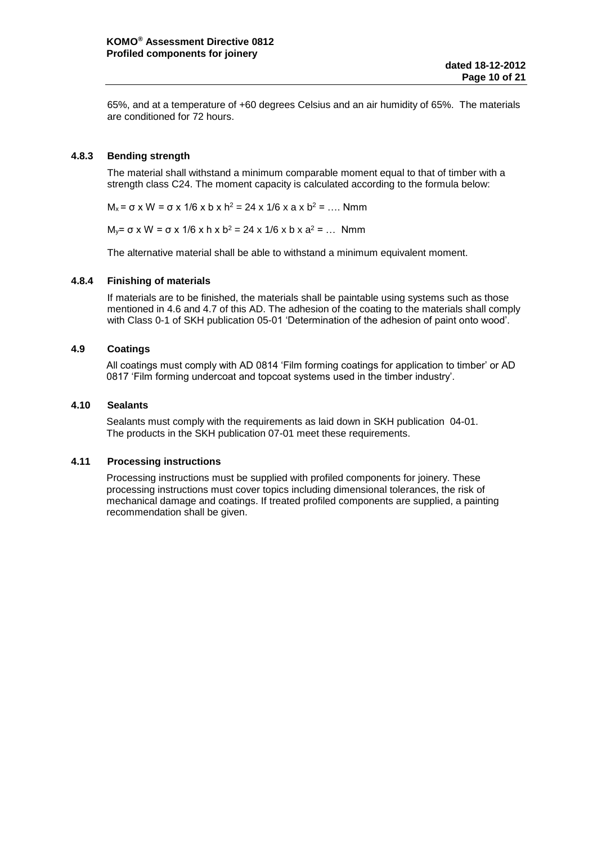65%, and at a temperature of +60 degrees Celsius and an air humidity of 65%. The materials are conditioned for 72 hours.

# **4.8.3 Bending strength**

The material shall withstand a minimum comparable moment equal to that of timber with a strength class C24. The moment capacity is calculated according to the formula below:

 $M_x = σ$  x W = σ x 1/6 x b x h<sup>2</sup> = 24 x 1/6 x a x b<sup>2</sup> = .... Nmm

 $M_y = σ x W = σ x 1/6 x h x b<sup>2</sup> = 24 x 1/6 x b x a<sup>2</sup> = ... Nmm$ 

The alternative material shall be able to withstand a minimum equivalent moment.

# **4.8.4 Finishing of materials**

If materials are to be finished, the materials shall be paintable using systems such as those mentioned in 4.6 and 4.7 of this AD. The adhesion of the coating to the materials shall comply with Class 0-1 of SKH publication 05-01 'Determination of the adhesion of paint onto wood'.

# <span id="page-9-0"></span>**4.9 Coatings**

All coatings must comply with AD 0814 'Film forming coatings for application to timber' or AD 0817 'Film forming undercoat and topcoat systems used in the timber industry'.

# <span id="page-9-1"></span>**4.10 Sealants**

Sealants must comply with the requirements as laid down in SKH publication 04-01. The products in the SKH publication 07-01 meet these requirements.

# <span id="page-9-2"></span>**4.11 Processing instructions**

Processing instructions must be supplied with profiled components for joinery. These processing instructions must cover topics including dimensional tolerances, the risk of mechanical damage and coatings. If treated profiled components are supplied, a painting recommendation shall be given.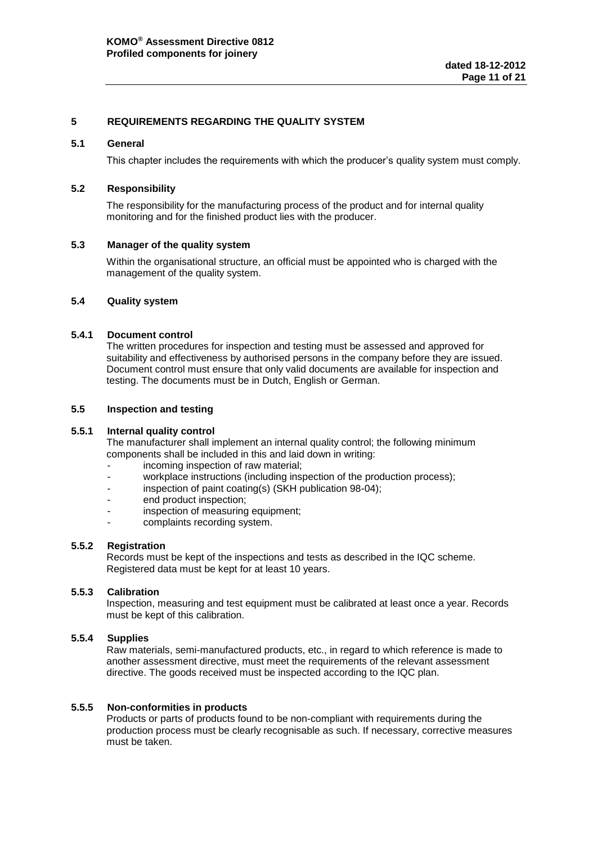# <span id="page-10-0"></span>**5 REQUIREMENTS REGARDING THE QUALITY SYSTEM**

#### <span id="page-10-1"></span>**5.1 General**

This chapter includes the requirements with which the producer's quality system must comply.

#### <span id="page-10-2"></span>**5.2 Responsibility**

The responsibility for the manufacturing process of the product and for internal quality monitoring and for the finished product lies with the producer.

#### <span id="page-10-3"></span>**5.3 Manager of the quality system**

Within the organisational structure, an official must be appointed who is charged with the management of the quality system.

# <span id="page-10-4"></span>**5.4 Quality system**

# **5.4.1 Document control**

The written procedures for inspection and testing must be assessed and approved for suitability and effectiveness by authorised persons in the company before they are issued. Document control must ensure that only valid documents are available for inspection and testing. The documents must be in Dutch, English or German.

#### <span id="page-10-5"></span>**5.5 Inspection and testing**

#### **5.5.1 Internal quality control**

The manufacturer shall implement an internal quality control; the following minimum components shall be included in this and laid down in writing:

- incoming inspection of raw material;
- workplace instructions (including inspection of the production process);
- inspection of paint coating(s) (SKH publication 98-04);
- end product inspection:
- inspection of measuring equipment;
- complaints recording system.

#### **5.5.2 Registration**

Records must be kept of the inspections and tests as described in the IQC scheme. Registered data must be kept for at least 10 years.

#### **5.5.3 Calibration**

Inspection, measuring and test equipment must be calibrated at least once a year. Records must be kept of this calibration.

#### **5.5.4 Supplies**

Raw materials, semi-manufactured products, etc., in regard to which reference is made to another assessment directive, must meet the requirements of the relevant assessment directive. The goods received must be inspected according to the IQC plan.

#### **5.5.5 Non-conformities in products**

Products or parts of products found to be non-compliant with requirements during the production process must be clearly recognisable as such. If necessary, corrective measures must be taken.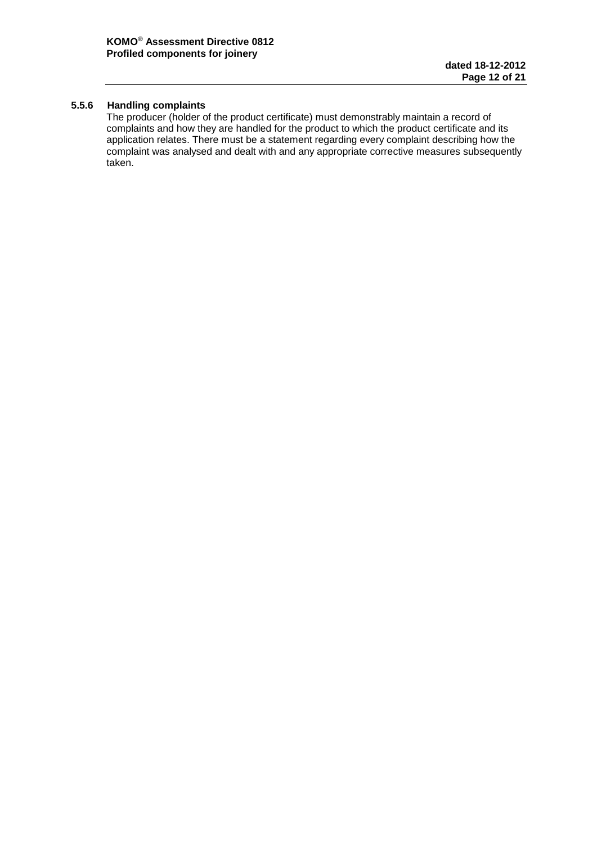# **5.5.6 Handling complaints**

The producer (holder of the product certificate) must demonstrably maintain a record of complaints and how they are handled for the product to which the product certificate and its application relates. There must be a statement regarding every complaint describing how the complaint was analysed and dealt with and any appropriate corrective measures subsequently taken.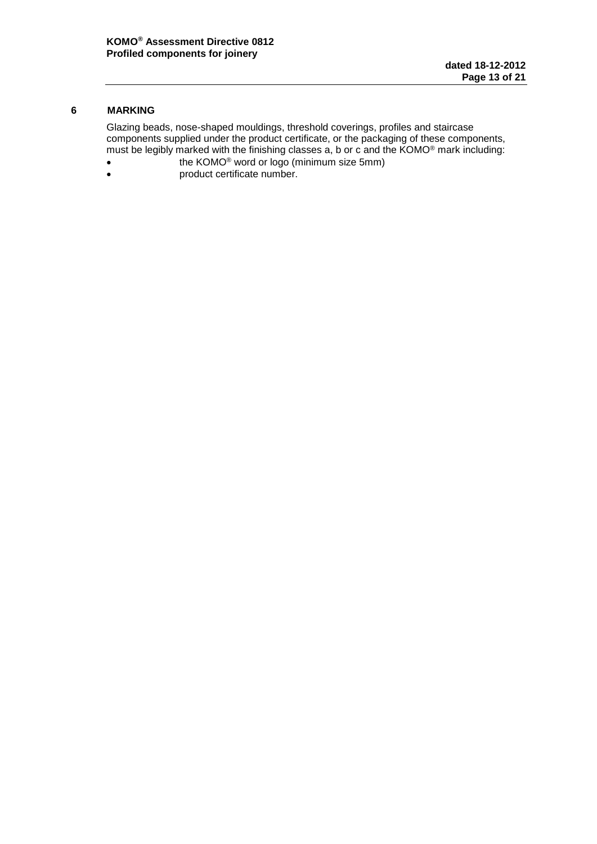# <span id="page-12-0"></span>**6 MARKING**

Glazing beads, nose-shaped mouldings, threshold coverings, profiles and staircase components supplied under the product certificate, or the packaging of these components, must be legibly marked with the finishing classes a, b or c and the KOMO® mark including:

- **the KOMO<sup>®</sup> word or logo (minimum size 5mm)**
- **product certificate number.**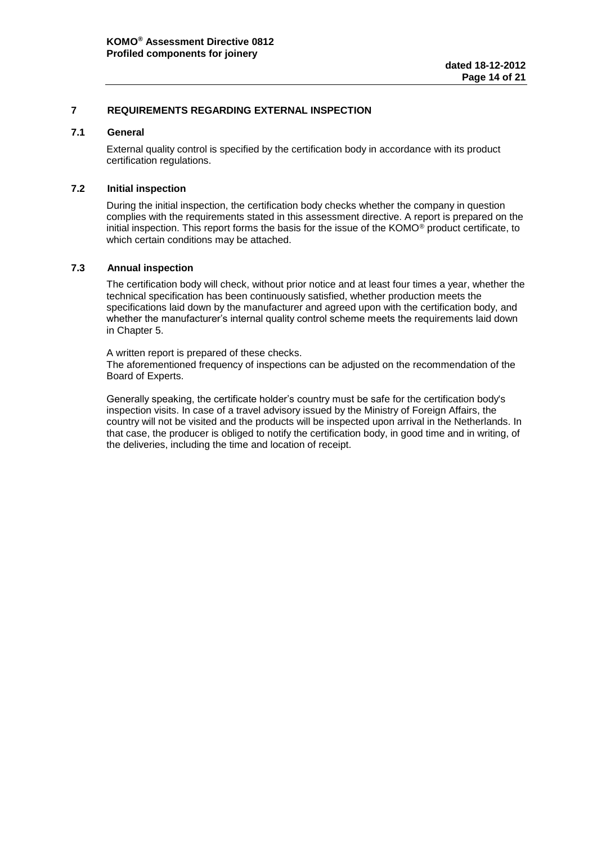# <span id="page-13-0"></span>**7 REQUIREMENTS REGARDING EXTERNAL INSPECTION**

# <span id="page-13-1"></span>**7.1 General**

External quality control is specified by the certification body in accordance with its product certification regulations.

#### <span id="page-13-2"></span>**7.2 Initial inspection**

During the initial inspection, the certification body checks whether the company in question complies with the requirements stated in this assessment directive. A report is prepared on the initial inspection. This report forms the basis for the issue of the KOMO® product certificate, to which certain conditions may be attached.

#### <span id="page-13-3"></span>**7.3 Annual inspection**

The certification body will check, without prior notice and at least four times a year, whether the technical specification has been continuously satisfied, whether production meets the specifications laid down by the manufacturer and agreed upon with the certification body, and whether the manufacturer's internal quality control scheme meets the requirements laid down in Chapter 5.

A written report is prepared of these checks. The aforementioned frequency of inspections can be adjusted on the recommendation of the Board of Experts.

Generally speaking, the certificate holder's country must be safe for the certification body's inspection visits. In case of a travel advisory issued by the Ministry of Foreign Affairs, the country will not be visited and the products will be inspected upon arrival in the Netherlands. In that case, the producer is obliged to notify the certification body, in good time and in writing, of the deliveries, including the time and location of receipt.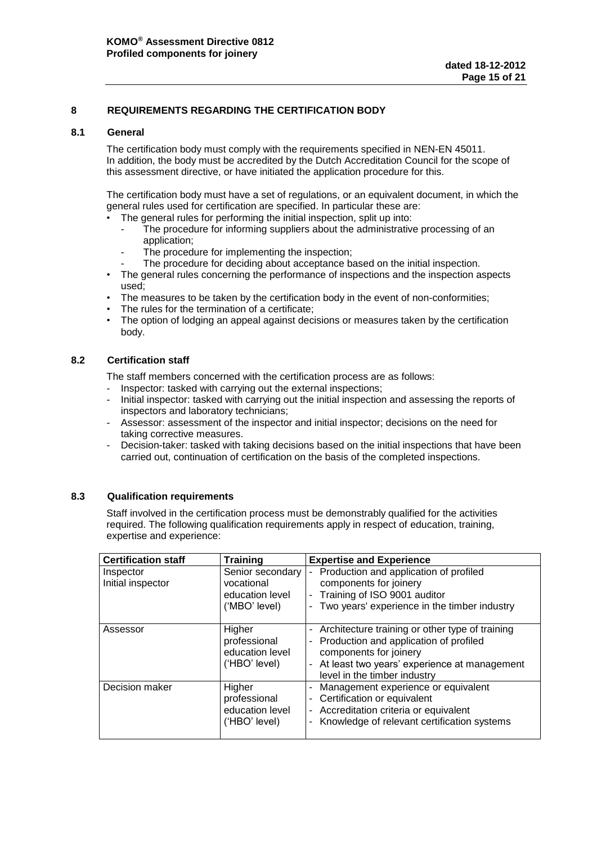# <span id="page-14-0"></span>**8 REQUIREMENTS REGARDING THE CERTIFICATION BODY**

#### <span id="page-14-1"></span>**8.1 General**

The certification body must comply with the requirements specified in NEN-EN 45011. In addition, the body must be accredited by the Dutch Accreditation Council for the scope of this assessment directive, or have initiated the application procedure for this.

The certification body must have a set of regulations, or an equivalent document, in which the general rules used for certification are specified. In particular these are:

- The general rules for performing the initial inspection, split up into:
	- The procedure for informing suppliers about the administrative processing of an application;
	- The procedure for implementing the inspection;
	- The procedure for deciding about acceptance based on the initial inspection.
- The general rules concerning the performance of inspections and the inspection aspects used;
- The measures to be taken by the certification body in the event of non-conformities;
- The rules for the termination of a certificate;
- The option of lodging an appeal against decisions or measures taken by the certification body.

# <span id="page-14-2"></span>**8.2 Certification staff**

The staff members concerned with the certification process are as follows:

- Inspector: tasked with carrying out the external inspections;
- Initial inspector: tasked with carrying out the initial inspection and assessing the reports of inspectors and laboratory technicians;
- Assessor: assessment of the inspector and initial inspector; decisions on the need for taking corrective measures.
- Decision-taker: tasked with taking decisions based on the initial inspections that have been carried out, continuation of certification on the basis of the completed inspections.

# <span id="page-14-3"></span>**8.3 Qualification requirements**

Staff involved in the certification process must be demonstrably qualified for the activities required. The following qualification requirements apply in respect of education, training, expertise and experience:

| <b>Certification staff</b>     | <b>Training</b>                                                    | <b>Expertise and Experience</b>                                                                                                                                                                           |
|--------------------------------|--------------------------------------------------------------------|-----------------------------------------------------------------------------------------------------------------------------------------------------------------------------------------------------------|
| Inspector<br>Initial inspector | Senior secondary<br>vocational<br>education level<br>('MBO' level) | - Production and application of profiled<br>components for joinery<br>- Training of ISO 9001 auditor<br>- Two years' experience in the timber industry                                                    |
| Assessor                       | Higher<br>professional<br>education level<br>('HBO' level)         | - Architecture training or other type of training<br>- Production and application of profiled<br>components for joinery<br>- At least two years' experience at management<br>level in the timber industry |
| Decision maker                 | Higher<br>professional<br>education level<br>('HBO' level)         | - Management experience or equivalent<br>- Certification or equivalent<br>- Accreditation criteria or equivalent<br>- Knowledge of relevant certification systems                                         |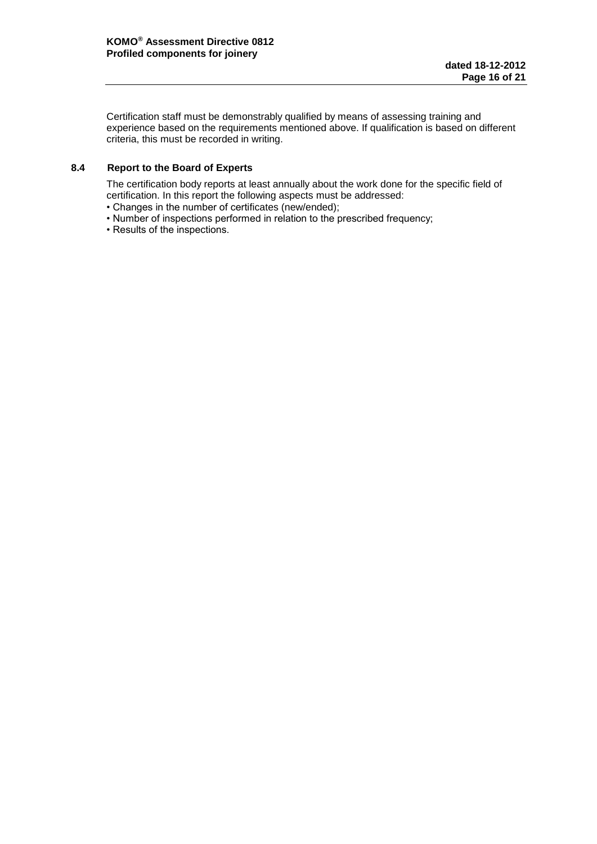Certification staff must be demonstrably qualified by means of assessing training and experience based on the requirements mentioned above. If qualification is based on different criteria, this must be recorded in writing.

# <span id="page-15-0"></span>**8.4 Report to the Board of Experts**

The certification body reports at least annually about the work done for the specific field of certification. In this report the following aspects must be addressed:

- Changes in the number of certificates (new/ended);
- Number of inspections performed in relation to the prescribed frequency;
- Results of the inspections.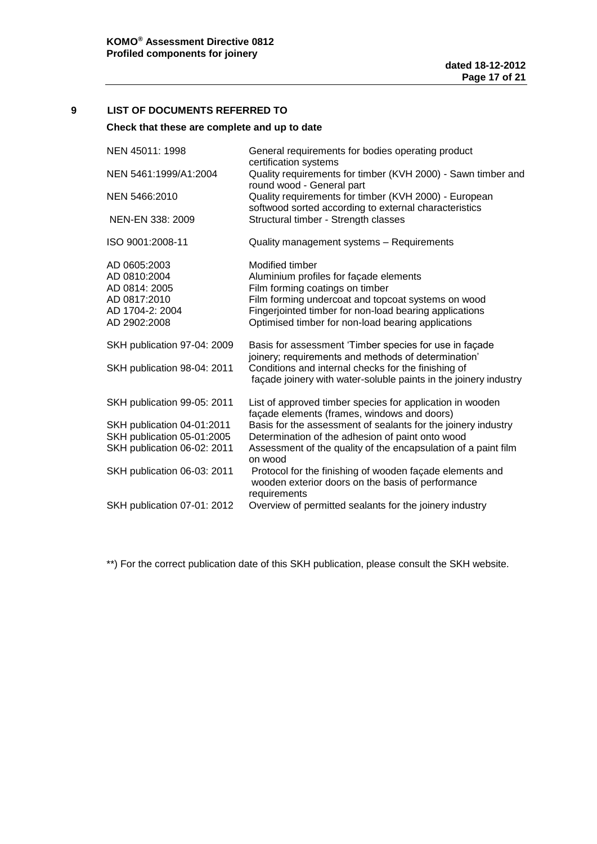# <span id="page-16-0"></span>**9 LIST OF DOCUMENTS REFERRED TO**

# **Check that these are complete and up to date**

| NEN 45011: 1998             | General requirements for bodies operating product<br>certification systems                                                    |
|-----------------------------|-------------------------------------------------------------------------------------------------------------------------------|
| NEN 5461:1999/A1:2004       | Quality requirements for timber (KVH 2000) - Sawn timber and<br>round wood - General part                                     |
| NEN 5466:2010               | Quality requirements for timber (KVH 2000) - European<br>softwood sorted according to external characteristics                |
| NEN-EN 338: 2009            | Structural timber - Strength classes                                                                                          |
| ISO 9001:2008-11            | Quality management systems - Requirements                                                                                     |
| AD 0605:2003                | Modified timber                                                                                                               |
| AD 0810:2004                | Aluminium profiles for façade elements                                                                                        |
| AD 0814: 2005               | Film forming coatings on timber                                                                                               |
| AD 0817:2010                | Film forming undercoat and topcoat systems on wood                                                                            |
| AD 1704-2: 2004             | Fingerjointed timber for non-load bearing applications                                                                        |
| AD 2902:2008                | Optimised timber for non-load bearing applications                                                                            |
| SKH publication 97-04: 2009 | Basis for assessment 'Timber species for use in façade<br>joinery; requirements and methods of determination'                 |
| SKH publication 98-04: 2011 | Conditions and internal checks for the finishing of<br>façade joinery with water-soluble paints in the joinery industry       |
| SKH publication 99-05: 2011 | List of approved timber species for application in wooden<br>façade elements (frames, windows and doors)                      |
| SKH publication 04-01:2011  | Basis for the assessment of sealants for the joinery industry                                                                 |
| SKH publication 05-01:2005  | Determination of the adhesion of paint onto wood                                                                              |
| SKH publication 06-02: 2011 | Assessment of the quality of the encapsulation of a paint film<br>on wood                                                     |
| SKH publication 06-03: 2011 | Protocol for the finishing of wooden façade elements and<br>wooden exterior doors on the basis of performance<br>requirements |
| SKH publication 07-01: 2012 | Overview of permitted sealants for the joinery industry                                                                       |
|                             |                                                                                                                               |

\*\*) For the correct publication date of this SKH publication, please consult the SKH website.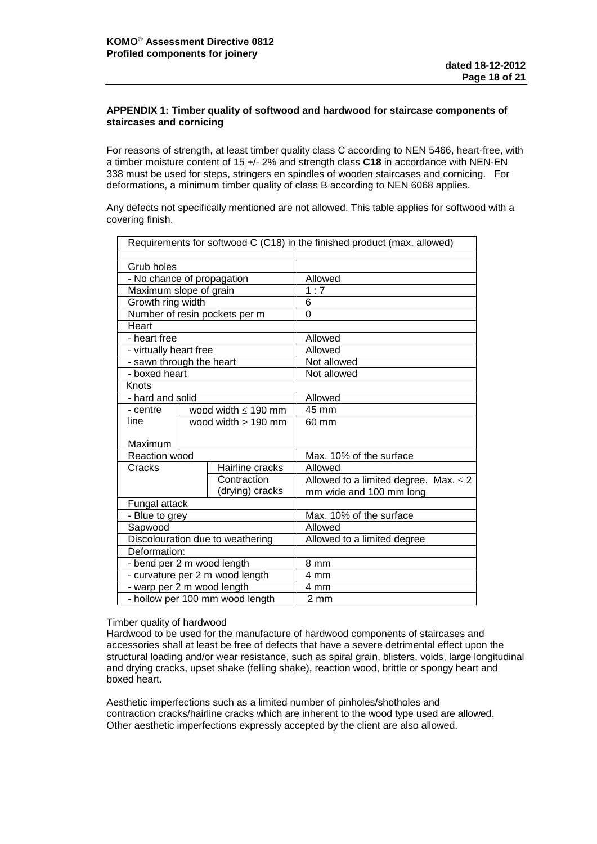# <span id="page-17-0"></span>**APPENDIX 1: Timber quality of softwood and hardwood for staircase components of staircases and cornicing**

For reasons of strength, at least timber quality class C according to NEN 5466, heart-free, with a timber moisture content of 15 +/- 2% and strength class **C18** in accordance with NEN-EN 338 must be used for steps, stringers en spindles of wooden staircases and cornicing. For deformations, a minimum timber quality of class B according to NEN 6068 applies.

Any defects not specifically mentioned are not allowed. This table applies for softwood with a covering finish.

| Requirements for softwood C (C18) in the finished product (max. allowed) |                          |                                  |                                            |
|--------------------------------------------------------------------------|--------------------------|----------------------------------|--------------------------------------------|
|                                                                          |                          |                                  |                                            |
| Grub holes                                                               |                          |                                  |                                            |
| - No chance of propagation                                               |                          |                                  | Allowed                                    |
| Maximum slope of grain                                                   |                          |                                  | 1:7                                        |
| Growth ring width                                                        |                          |                                  | 6                                          |
|                                                                          |                          | Number of resin pockets per m    | $\Omega$                                   |
| Heart                                                                    |                          |                                  |                                            |
| - heart free                                                             |                          |                                  | Allowed                                    |
| - virtually heart free                                                   |                          |                                  | Allowed                                    |
| - sawn through the heart                                                 |                          |                                  | Not allowed                                |
| - boxed heart                                                            |                          |                                  | Not allowed                                |
| Knots                                                                    |                          |                                  |                                            |
| - hard and solid                                                         |                          |                                  | Allowed                                    |
| - centre                                                                 | wood width $\leq$ 190 mm |                                  | 45 mm                                      |
| line                                                                     |                          | wood width > 190 mm              | 60 mm                                      |
| Maximum                                                                  |                          |                                  |                                            |
| <b>Reaction wood</b>                                                     |                          |                                  | Max. 10% of the surface                    |
| Cracks                                                                   |                          | Hairline cracks                  | Allowed                                    |
|                                                                          |                          | Contraction                      | Allowed to a limited degree. Max. $\leq$ 2 |
|                                                                          |                          | (drying) cracks                  | mm wide and 100 mm long                    |
| Fungal attack                                                            |                          |                                  |                                            |
| - Blue to grey                                                           |                          |                                  | Max. 10% of the surface                    |
| Sapwood                                                                  |                          |                                  | Allowed                                    |
|                                                                          |                          | Discolouration due to weathering | Allowed to a limited degree                |
| Deformation:                                                             |                          |                                  |                                            |
| - bend per 2 m wood length                                               |                          |                                  | 8 mm                                       |
|                                                                          |                          | - curvature per 2 m wood length  | 4 mm                                       |
| - warp per 2 m wood length                                               |                          |                                  | 4 mm                                       |
|                                                                          |                          | - hollow per 100 mm wood length  | $2 \, \text{mm}$                           |

#### Timber quality of hardwood

Hardwood to be used for the manufacture of hardwood components of staircases and accessories shall at least be free of defects that have a severe detrimental effect upon the structural loading and/or wear resistance, such as spiral grain, blisters, voids, large longitudinal and drying cracks, upset shake (felling shake), reaction wood, brittle or spongy heart and boxed heart.

Aesthetic imperfections such as a limited number of pinholes/shotholes and contraction cracks/hairline cracks which are inherent to the wood type used are allowed. Other aesthetic imperfections expressly accepted by the client are also allowed.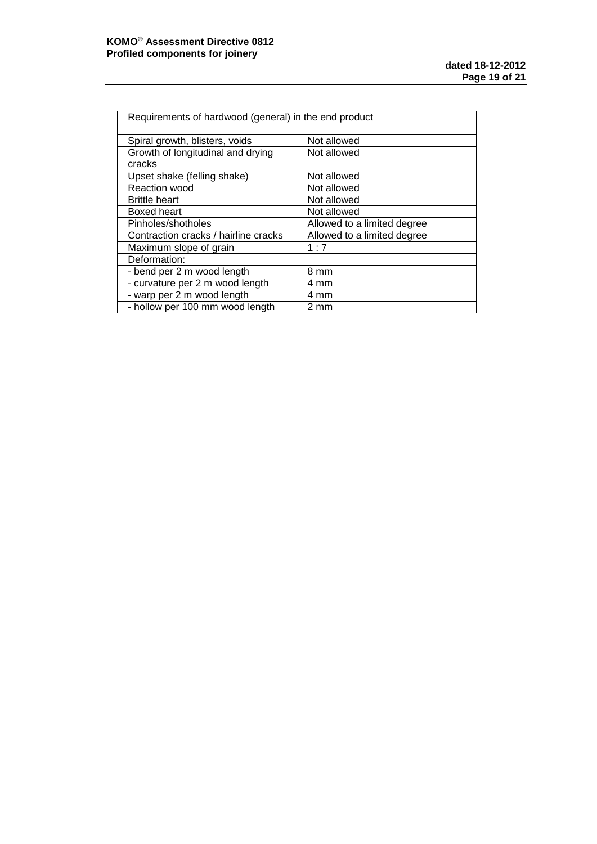| Requirements of hardwood (general) in the end product |                             |  |
|-------------------------------------------------------|-----------------------------|--|
|                                                       |                             |  |
| Spiral growth, blisters, voids                        | Not allowed                 |  |
| Growth of longitudinal and drying                     | Not allowed                 |  |
| cracks                                                |                             |  |
| Upset shake (felling shake)                           | Not allowed                 |  |
| Reaction wood                                         | Not allowed                 |  |
| <b>Brittle heart</b>                                  | Not allowed                 |  |
| Boxed heart                                           | Not allowed                 |  |
| Pinholes/shotholes                                    | Allowed to a limited degree |  |
| Contraction cracks / hairline cracks                  | Allowed to a limited degree |  |
| Maximum slope of grain                                | 1:7                         |  |
| Deformation:                                          |                             |  |
| - bend per 2 m wood length                            | 8 mm                        |  |
| - curvature per 2 m wood length                       | 4 mm                        |  |
| - warp per 2 m wood length                            | 4 mm                        |  |
| - hollow per 100 mm wood length                       | 2 mm                        |  |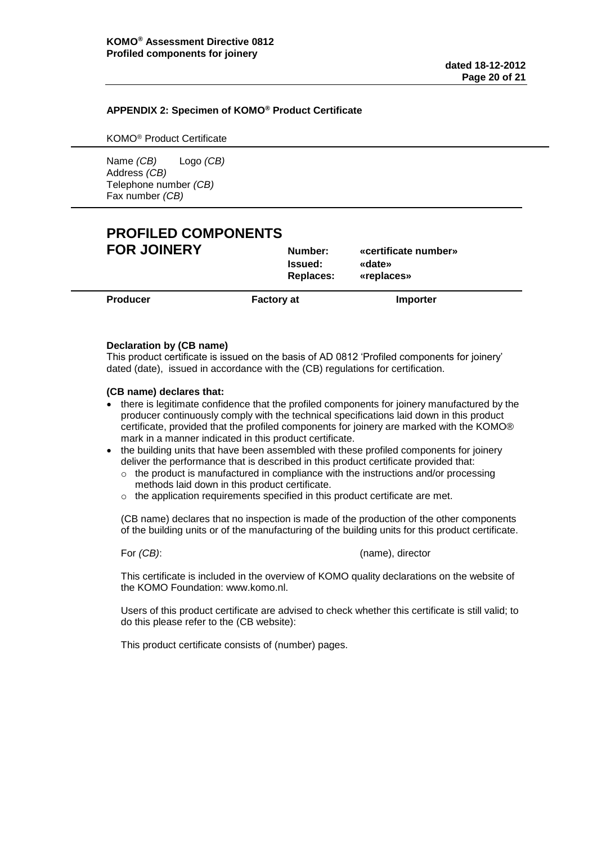# <span id="page-19-0"></span>**APPENDIX 2: Specimen of KOMO® Product Certificate**

KOMO® Product Certificate

Name *(CB)* Logo *(CB)* Address *(CB)* Telephone number *(CB)* Fax number *(CB)*

# **PROFILED COMPONENTS FOR JOINERY Number: «certificate number»**

**Issued: «date» Replaces: «replaces»**

**Producer Factory at Importer** 

# **Declaration by (CB name)**

This product certificate is issued on the basis of AD 0812 'Profiled components for joinery' dated (date), issued in accordance with the (CB) regulations for certification.

#### **(CB name) declares that:**

- there is legitimate confidence that the profiled components for joinery manufactured by the producer continuously comply with the technical specifications laid down in this product certificate, provided that the profiled components for joinery are marked with the KOMO® mark in a manner indicated in this product certificate.
- the building units that have been assembled with these profiled components for joinery deliver the performance that is described in this product certificate provided that:
	- o the product is manufactured in compliance with the instructions and/or processing methods laid down in this product certificate.
	- o the application requirements specified in this product certificate are met.

(CB name) declares that no inspection is made of the production of the other components of the building units or of the manufacturing of the building units for this product certificate.

#### For *(CB)*: (name), director

This certificate is included in the overview of KOMO quality declarations on the website of the KOMO Foundation: www.komo.nl.

Users of this product certificate are advised to check whether this certificate is still valid; to do this please refer to the (CB website):

This product certificate consists of (number) pages.